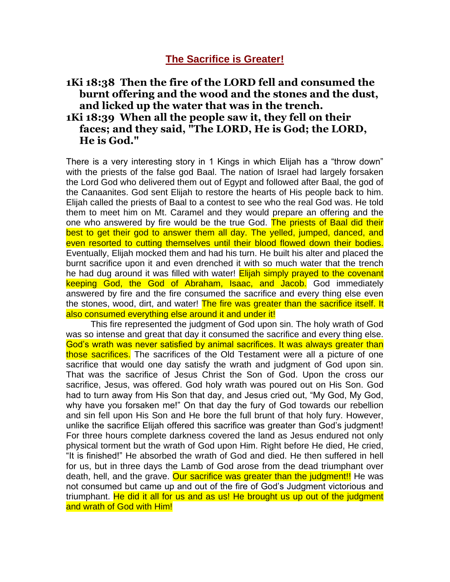## **1Ki 18:38 Then the fire of the LORD fell and consumed the burnt offering and the wood and the stones and the dust, and licked up the water that was in the trench. 1Ki 18:39 When all the people saw it, they fell on their faces; and they said, "The LORD, He is God; the LORD, He is God."**

There is a very interesting story in 1 Kings in which Elijah has a "throw down" with the priests of the false god Baal. The nation of Israel had largely forsaken the Lord God who delivered them out of Egypt and followed after Baal, the god of the Canaanites. God sent Elijah to restore the hearts of His people back to him. Elijah called the priests of Baal to a contest to see who the real God was. He told them to meet him on Mt. Caramel and they would prepare an offering and the one who answered by fire would be the true God. The priests of Baal did their best to get their god to answer them all day. The yelled, jumped, danced, and even resorted to cutting themselves until their blood flowed down their bodies. Eventually, Elijah mocked them and had his turn. He built his alter and placed the burnt sacrifice upon it and even drenched it with so much water that the trench he had dug around it was filled with water! **Elijah simply prayed to the covenant** keeping God, the God of Abraham, Isaac, and Jacob. God immediately answered by fire and the fire consumed the sacrifice and every thing else even the stones, wood, dirt, and water! The fire was greater than the sacrifice itself. It also consumed everything else around it and under it!

 This fire represented the judgment of God upon sin. The holy wrath of God was so intense and great that day it consumed the sacrifice and every thing else. God's wrath was never satisfied by animal sacrifices. It was always greater than those sacrifices. The sacrifices of the Old Testament were all a picture of one sacrifice that would one day satisfy the wrath and judgment of God upon sin. That was the sacrifice of Jesus Christ the Son of God. Upon the cross our sacrifice, Jesus, was offered. God holy wrath was poured out on His Son. God had to turn away from His Son that day, and Jesus cried out, "My God, My God, why have you forsaken me!" On that day the fury of God towards our rebellion and sin fell upon His Son and He bore the full brunt of that holy fury. However, unlike the sacrifice Elijah offered this sacrifice was greater than God's judgment! For three hours complete darkness covered the land as Jesus endured not only physical torment but the wrath of God upon Him. Right before He died, He cried, "It is finished!" He absorbed the wrath of God and died. He then suffered in hell for us, but in three days the Lamb of God arose from the dead triumphant over death, hell, and the grave. Our sacrifice was greater than the judgment!! He was not consumed but came up and out of the fire of God's Judgment victorious and triumphant. He did it all for us and as us! He brought us up out of the judgment and wrath of God with Him!